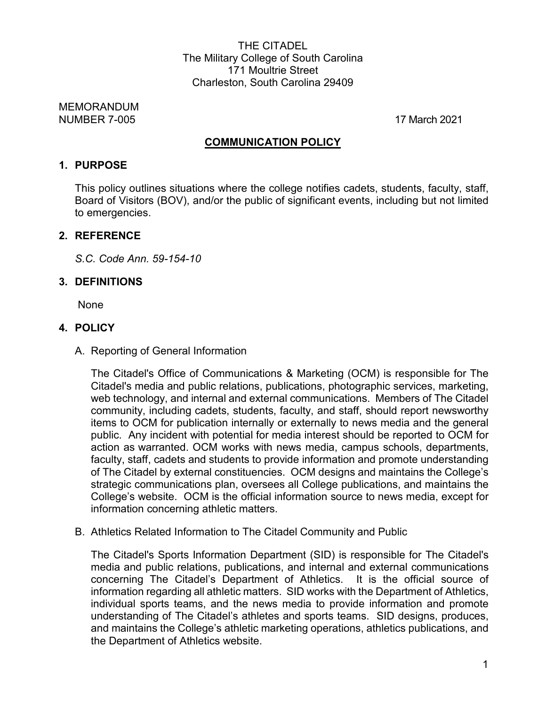THE CITADEL The Military College of South Carolina 171 Moultrie Street Charleston, South Carolina 29409

MEMORANDUM NUMBER 7-005 17 March 2021

#### **COMMUNICATION POLICY**

#### **1. PURPOSE**

This policy outlines situations where the college notifies cadets, students, faculty, staff, Board of Visitors (BOV), and/or the public of significant events, including but not limited to emergencies.

#### **2. REFERENCE**

*S.C. Code Ann. 59-154-10*

#### **3. DEFINITIONS**

None

#### **4. POLICY**

A. Reporting of General Information

The Citadel's Office of Communications & Marketing (OCM) is responsible for The Citadel's media and public relations, publications, photographic services, marketing, web technology, and internal and external communications. Members of The Citadel community, including cadets, students, faculty, and staff, should report newsworthy items to OCM for publication internally or externally to news media and the general public. Any incident with potential for media interest should be reported to OCM for action as warranted. OCM works with news media, campus schools, departments, faculty, staff, cadets and students to provide information and promote understanding of The Citadel by external constituencies. OCM designs and maintains the College's strategic communications plan, oversees all College publications, and maintains the College's website. OCM is the official information source to news media, except for information concerning athletic matters.

B. Athletics Related Information to The Citadel Community and Public

The Citadel's Sports Information Department (SID) is responsible for The Citadel's media and public relations, publications, and internal and external communications concerning The Citadel's Department of Athletics. It is the official source of information regarding all athletic matters. SID works with the Department of Athletics, individual sports teams, and the news media to provide information and promote understanding of The Citadel's athletes and sports teams. SID designs, produces, and maintains the College's athletic marketing operations, athletics publications, and the Department of Athletics website.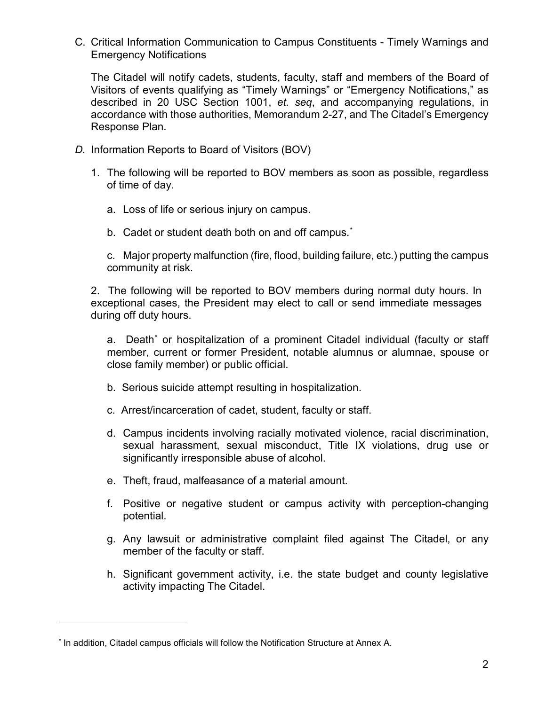C. Critical Information Communication to Campus Constituents - Timely Warnings and Emergency Notifications

The Citadel will notify cadets, students, faculty, staff and members of the Board of Visitors of events qualifying as "Timely Warnings" or "Emergency Notifications," as described in 20 USC Section 1001, *et. seq*, and accompanying regulations, in accordance with those authorities, Memorandum 2-27, and The Citadel's Emergency Response Plan.

- *D.* Information Reports to Board of Visitors (BOV)
	- 1. The following will be reported to BOV members as soon as possible, regardless of time of day.
		- a. Loss of life or serious injury on campus.
		- b.  $\,$  Cadet or student death both on and off campus. $\,$

c. Major property malfunction (fire, flood, building failure, etc.) putting the campus community at risk.

2. The following will be reported to BOV members during normal duty hours. In exceptional cases, the President may elect to call or send immediate messages during off duty hours.

a. Death<sup>[\\*](#page-1-1)</sup> or hospitalization of a prominent Citadel individual (faculty or staff member, current or former President, notable alumnus or alumnae, spouse or close family member) or public official.

- b. Serious suicide attempt resulting in hospitalization.
- c. Arrest/incarceration of cadet, student, faculty or staff.
- d. Campus incidents involving racially motivated violence, racial discrimination, sexual harassment, sexual misconduct, Title IX violations, drug use or significantly irresponsible abuse of alcohol.
- e. Theft, fraud, malfeasance of a material amount.
- f. Positive or negative student or campus activity with perception-changing potential.
- g. Any lawsuit or administrative complaint filed against The Citadel, or any member of the faculty or staff.
- h. Significant government activity, i.e. the state budget and county legislative activity impacting The Citadel.

 $\overline{a}$ 

<span id="page-1-1"></span><span id="page-1-0"></span><sup>\*</sup> In addition, Citadel campus officials will follow the Notification Structure at Annex A.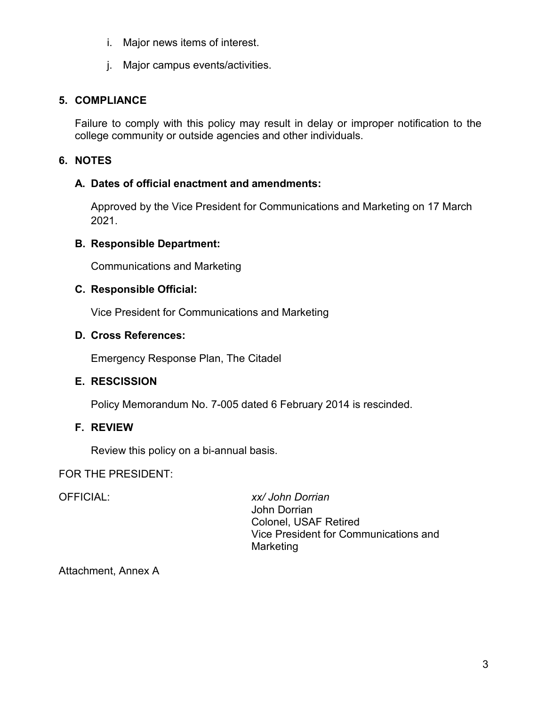- i. Major news items of interest.
- j. Major campus events/activities.

# **5. COMPLIANCE**

Failure to comply with this policy may result in delay or improper notification to the college community or outside agencies and other individuals.

# **6. NOTES**

## **A. Dates of official enactment and amendments:**

Approved by the Vice President for Communications and Marketing on 17 March 2021.

### **B. Responsible Department:**

Communications and Marketing

### **C. Responsible Official:**

Vice President for Communications and Marketing

## **D. Cross References:**

Emergency Response Plan, The Citadel

## **E. RESCISSION**

Policy Memorandum No. 7-005 dated 6 February 2014 is rescinded.

## **F. REVIEW**

Review this policy on a bi-annual basis.

## FOR THE PRESIDENT:

OFFICIAL: *xx/ John Dorrian* John Dorrian Colonel, USAF Retired Vice President for Communications and **Marketing** 

Attachment, Annex A